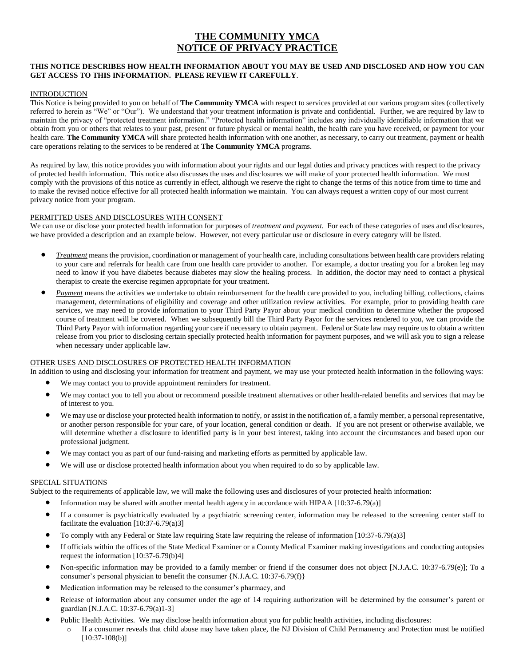### **THE COMMUNITY YMCA NOTICE OF PRIVACY PRACTICE**

#### **THIS NOTICE DESCRIBES HOW HEALTH INFORMATION ABOUT YOU MAY BE USED AND DISCLOSED AND HOW YOU CAN GET ACCESS TO THIS INFORMATION. PLEASE REVIEW IT CAREFULLY**.

#### INTRODUCTION

This Notice is being provided to you on behalf of **The Community YMCA** with respect to services provided at our various program sites (collectively referred to herein as "We" or "Our"). We understand that your treatment information is private and confidential. Further, we are required by law to maintain the privacy of "protected treatment information." "Protected health information" includes any individually identifiable information that we obtain from you or others that relates to your past, present or future physical or mental health, the health care you have received, or payment for your health care. **The Community YMCA** will share protected health information with one another, as necessary, to carry out treatment, payment or health care operations relating to the services to be rendered at **The Community YMCA** programs.

As required by law, this notice provides you with information about your rights and our legal duties and privacy practices with respect to the privacy of protected health information. This notice also discusses the uses and disclosures we will make of your protected health information. We must comply with the provisions of this notice as currently in effect, although we reserve the right to change the terms of this notice from time to time and to make the revised notice effective for all protected health information we maintain. You can always request a written copy of our most current privacy notice from your program.

#### PERMITTED USES AND DISCLOSURES WITH CONSENT

We can use or disclose your protected health information for purposes of *treatment and payment.* For each of these categories of uses and disclosures, we have provided a description and an example below. However, not every particular use or disclosure in every category will be listed.

- *Treatment* means the provision, coordination or management of your health care, including consultations between health care providers relating to your care and referrals for health care from one health care provider to another. For example, a doctor treating you for a broken leg may need to know if you have diabetes because diabetes may slow the healing process. In addition, the doctor may need to contact a physical therapist to create the exercise regimen appropriate for your treatment.
- *Payment* means the activities we undertake to obtain reimbursement for the health care provided to you, including billing, collections, claims management, determinations of eligibility and coverage and other utilization review activities. For example, prior to providing health care services, we may need to provide information to your Third Party Payor about your medical condition to determine whether the proposed course of treatment will be covered. When we subsequently bill the Third Party Payor for the services rendered to you, we can provide the Third Party Payor with information regarding your care if necessary to obtain payment. Federal or State law may require us to obtain a written release from you prior to disclosing certain specially protected health information for payment purposes, and we will ask you to sign a release when necessary under applicable law.

#### OTHER USES AND DISCLOSURES OF PROTECTED HEALTH INFORMATION

In addition to using and disclosing your information for treatment and payment, we may use your protected health information in the following ways:

- We may contact you to provide appointment reminders for treatment.
- We may contact you to tell you about or recommend possible treatment alternatives or other health-related benefits and services that may be of interest to you.
- We may use or disclose your protected health information to notify, or assist in the notification of, a family member, a personal representative, or another person responsible for your care, of your location, general condition or death. If you are not present or otherwise available, we will determine whether a disclosure to identified party is in your best interest, taking into account the circumstances and based upon our professional judgment.
- We may contact you as part of our fund-raising and marketing efforts as permitted by applicable law.
- We will use or disclose protected health information about you when required to do so by applicable law.

#### SPECIAL SITUATIONS

Subject to the requirements of applicable law, we will make the following uses and disclosures of your protected health information:

- Information may be shared with another mental health agency in accordance with HIPAA [10:37-6.79(a)]
- If a consumer is psychiatrically evaluated by a psychiatric screening center, information may be released to the screening center staff to facilitate the evaluation  $[10:37-6.79(a)3]$
- To comply with any Federal or State law requiring State law requiring the release of information [10:37-6.79(a)3]
- If officials within the offices of the State Medical Examiner or a County Medical Examiner making investigations and conducting autopsies request the information [10:37-6.79(b)4]
- Non-specific information may be provided to a family member or friend if the consumer does not object [N.J.A.C. 10:37-6.79(e)]; To a consumer's personal physician to benefit the consumer {N.J.A.C. 10:37-6.79(f)}
- Medication information may be released to the consumer's pharmacy, and
- Release of information about any consumer under the age of 14 requiring authorization will be determined by the consumer's parent or guardian [N.J.A.C. 10:37-6.79(a)1-3]
- Public Health Activities. We may disclose health information about you for public health activities, including disclosures:
	- If a consumer reveals that child abuse may have taken place, the NJ Division of Child Permanency and Protection must be notified  $[10:37-108(b)]$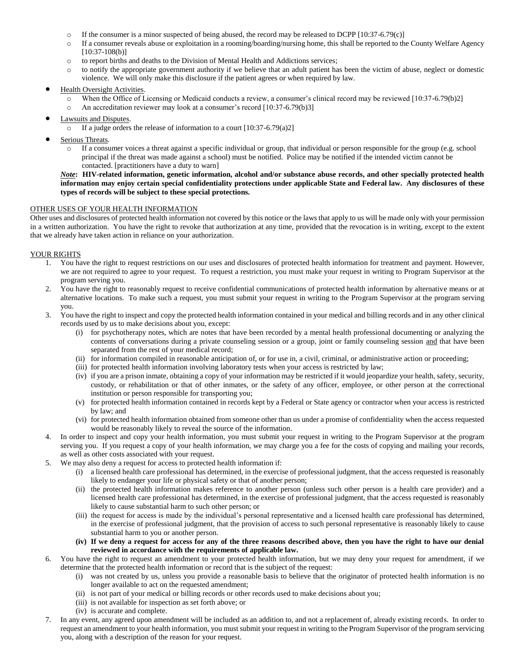- o If the consumer is a minor suspected of being abused, the record may be released to DCPP [10:37-6.79(c)]
- o If a consumer reveals abuse or exploitation in a rooming/boarding/nursing home, this shall be reported to the County Welfare Agency  $[10:37-108(b)]$
- o to report births and deaths to the Division of Mental Health and Addictions services;
- o to notify the appropriate government authority if we believe that an adult patient has been the victim of abuse, neglect or domestic violence. We will only make this disclosure if the patient agrees or when required by law.

#### Health Oversight Activities.

- o When the Office of Licensing or Medicaid conducts a review, a consumer's clinical record may be reviewed [10:37-6.79(b)2]
- o An accreditation reviewer may look at a consumer's record [10:37-6.79(b)3]
- Lawsuits and Disputes.
	- o If a judge orders the release of information to a court [10:37-6.79(a)2]
- Serious Threats.
	- o If a consumer voices a threat against a specific individual or group, that individual or person responsible for the group (e.g. school principal if the threat was made against a school) must be notified. Police may be notified if the intended victim cannot be contacted. [practitioners have a duty to warn]

#### *Note***: HIV-related information, genetic information, alcohol and/or substance abuse records, and other specially protected health information may enjoy certain special confidentiality protections under applicable State and Federal law. Any disclosures of these types of records will be subject to these special protections.**

#### OTHER USES OF YOUR HEALTH INFORMATION

Other uses and disclosures of protected health information not covered by this notice or the laws that apply to us will be made only with your permission in a written authorization. You have the right to revoke that authorization at any time, provided that the revocation is in writing, except to the extent that we already have taken action in reliance on your authorization.

#### YOUR RIGHTS

- 1. You have the right to request restrictions on our uses and disclosures of protected health information for treatment and payment. However, we are not required to agree to your request. To request a restriction, you must make your request in writing to Program Supervisor at the program serving you.
- 2. You have the right to reasonably request to receive confidential communications of protected health information by alternative means or at alternative locations. To make such a request, you must submit your request in writing to the Program Supervisor at the program serving you.
- 3. You have the right to inspect and copy the protected health information contained in your medical and billing records and in any other clinical records used by us to make decisions about you, except:
	- (i) for psychotherapy notes, which are notes that have been recorded by a mental health professional documenting or analyzing the contents of conversations during a private counseling session or a group, joint or family counseling session and that have been separated from the rest of your medical record;
	- (ii) for information compiled in reasonable anticipation of, or for use in, a civil, criminal, or administrative action or proceeding;
	- (iii) for protected health information involving laboratory tests when your access is restricted by law;
	- (iv) if you are a prison inmate, obtaining a copy of your information may be restricted if it would jeopardize your health, safety, security, custody, or rehabilitation or that of other inmates, or the safety of any officer, employee, or other person at the correctional institution or person responsible for transporting you;
	- (v) for protected health information contained in records kept by a Federal or State agency or contractor when your access is restricted by law; and
	- (vi) for protected health information obtained from someone other than us under a promise of confidentiality when the access requested would be reasonably likely to reveal the source of the information.
- 4. In order to inspect and copy your health information, you must submit your request in writing to the Program Supervisor at the program serving you. If you request a copy of your health information, we may charge you a fee for the costs of copying and mailing your records, as well as other costs associated with your request.
- 5. We may also deny a request for access to protected health information if:
	- (i) a licensed health care professional has determined, in the exercise of professional judgment, that the access requested is reasonably likely to endanger your life or physical safety or that of another person;
	- (ii) the protected health information makes reference to another person (unless such other person is a health care provider) and a licensed health care professional has determined, in the exercise of professional judgment, that the access requested is reasonably likely to cause substantial harm to such other person; or
	- (iii) the request for access is made by the individual's personal representative and a licensed health care professional has determined, in the exercise of professional judgment, that the provision of access to such personal representative is reasonably likely to cause substantial harm to you or another person.
	- **(iv) If we deny a request for access for any of the three reasons described above, then you have the right to have our denial reviewed in accordance with the requirements of applicable law.**
- 6. You have the right to request an amendment to your protected health information, but we may deny your request for amendment, if we determine that the protected health information or record that is the subject of the request:
	- (i) was not created by us, unless you provide a reasonable basis to believe that the originator of protected health information is no longer available to act on the requested amendment;
	- (ii) is not part of your medical or billing records or other records used to make decisions about you;
	- (iii) is not available for inspection as set forth above; or
	- (iv) is accurate and complete.
- 7. In any event, any agreed upon amendment will be included as an addition to, and not a replacement of, already existing records. In order to request an amendment to your health information, you must submit your request in writing to the Program Supervisor of the program servicing you, along with a description of the reason for your request.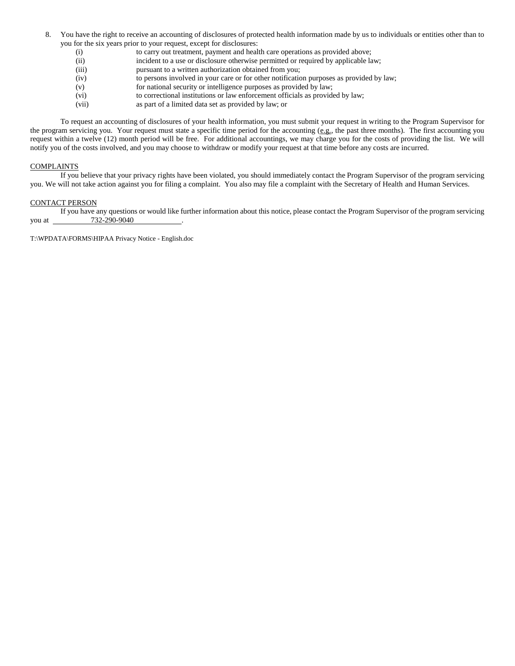- 8. You have the right to receive an accounting of disclosures of protected health information made by us to individuals or entities other than to you for the six years prior to your request, except for disclosures:
	- (i) to carry out treatment, payment and health care operations as provided above;
	- (ii) incident to a use or disclosure otherwise permitted or required by applicable law;
	- (iii) pursuant to a written authorization obtained from you;
	- (iv) to persons involved in your care or for other notification purposes as provided by law;
	- (v) for national security or intelligence purposes as provided by law;
	- (vi) to correctional institutions or law enforcement officials as provided by law;
	- (vii) as part of a limited data set as provided by law; or

To request an accounting of disclosures of your health information, you must submit your request in writing to the Program Supervisor for the program servicing you. Your request must state a specific time period for the accounting (e.g., the past three months). The first accounting you request within a twelve (12) month period will be free. For additional accountings, we may charge you for the costs of providing the list. We will notify you of the costs involved, and you may choose to withdraw or modify your request at that time before any costs are incurred.

#### COMPLAINTS

If you believe that your privacy rights have been violated, you should immediately contact the Program Supervisor of the program servicing you. We will not take action against you for filing a complaint. You also may file a complaint with the Secretary of Health and Human Services.

#### CONTACT PERSON

If you have any questions or would like further information about this notice, please contact the Program Supervisor of the program servicing vou at  $732-290-9040$ 

T:\WPDATA\FORMS\HIPAA Privacy Notice - English.doc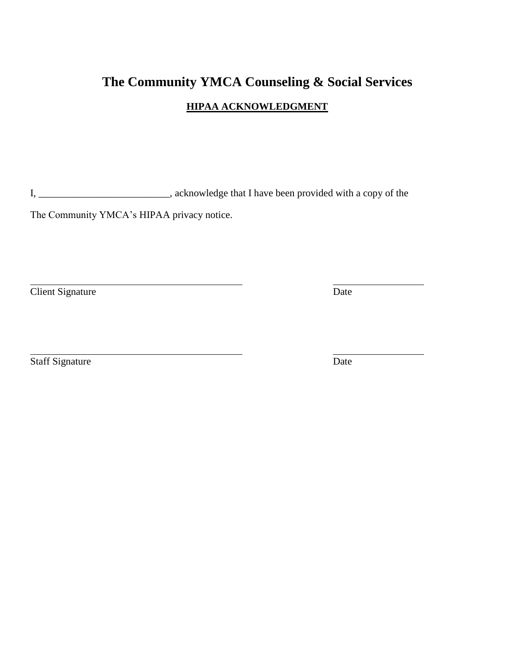# **The Community YMCA Counseling & Social Services HIPAA ACKNOWLEDGMENT**

I, \_\_\_\_\_\_\_\_\_\_\_\_\_\_\_\_\_\_\_\_\_\_\_\_\_\_, acknowledge that I have been provided with a copy of the

The Community YMCA's HIPAA privacy notice.

**Client Signature** Date

**Staff Signature** Date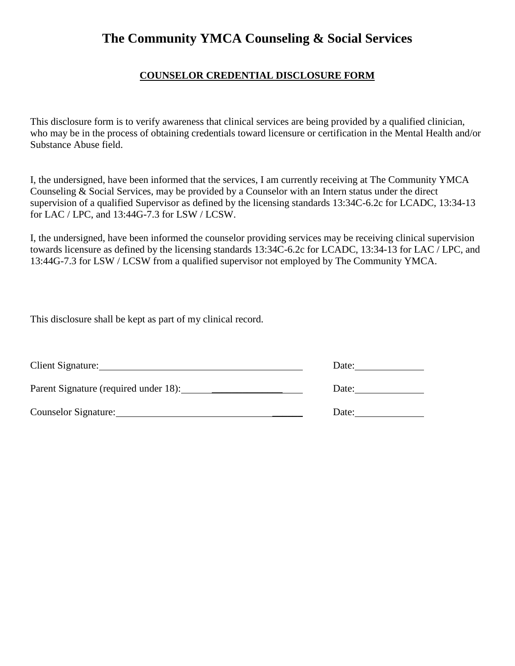### **COUNSELOR CREDENTIAL DISCLOSURE FORM**

This disclosure form is to verify awareness that clinical services are being provided by a qualified clinician, who may be in the process of obtaining credentials toward licensure or certification in the Mental Health and/or Substance Abuse field.

I, the undersigned, have been informed that the services, I am currently receiving at The Community YMCA Counseling & Social Services, may be provided by a Counselor with an Intern status under the direct supervision of a qualified Supervisor as defined by the licensing standards 13:34C-6.2c for LCADC, 13:34-13 for LAC / LPC, and 13:44G-7.3 for LSW / LCSW.

I, the undersigned, have been informed the counselor providing services may be receiving clinical supervision towards licensure as defined by the licensing standards 13:34C-6.2c for LCADC, 13:34-13 for LAC / LPC, and 13:44G-7.3 for LSW / LCSW from a qualified supervisor not employed by The Community YMCA.

This disclosure shall be kept as part of my clinical record.

| Client Signature:    | Date: |
|----------------------|-------|
|                      | Date: |
| Counselor Signature: | Date: |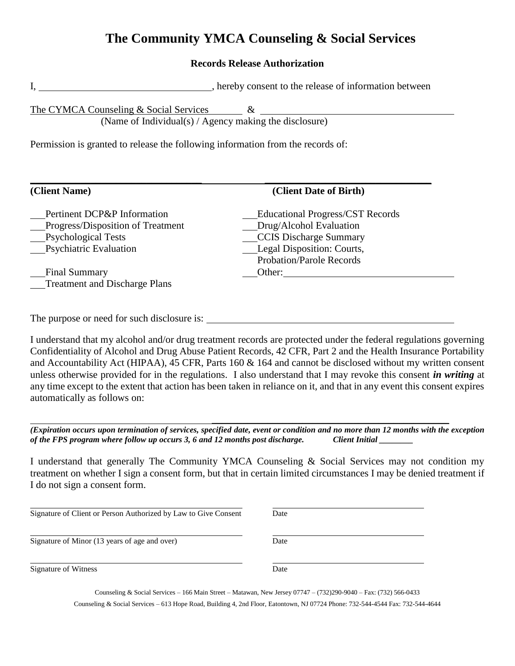### **Records Release Authorization**

I, hereby consent to the release of information between

The CYMCA Counseling & Social Services  $\& \quad \& \quad$ 

(Name of Individual(s) / Agency making the disclosure)

Permission is granted to release the following information from the records of:

| (Client Name)                        | (Client Date of Birth)                  |
|--------------------------------------|-----------------------------------------|
| Pertinent DCP&P Information          | <b>Educational Progress/CST Records</b> |
| Progress/Disposition of Treatment    | Drug/Alcohol Evaluation                 |
| <b>Psychological Tests</b>           | <b>CCIS Discharge Summary</b>           |
| <b>Psychiatric Evaluation</b>        | Legal Disposition: Courts,              |
|                                      | <b>Probation/Parole Records</b>         |
| <b>Final Summary</b>                 | Other:                                  |
| <b>Treatment and Discharge Plans</b> |                                         |

The purpose or need for such disclosure is:

I understand that my alcohol and/or drug treatment records are protected under the federal regulations governing Confidentiality of Alcohol and Drug Abuse Patient Records, 42 CFR, Part 2 and the Health Insurance Portability and Accountability Act (HIPAA), 45 CFR, Parts 160 & 164 and cannot be disclosed without my written consent unless otherwise provided for in the regulations. I also understand that I may revoke this consent *in writing* at any time except to the extent that action has been taken in reliance on it, and that in any event this consent expires automatically as follows on:

*(Expiration occurs upon termination of services, specified date, event or condition and no more than 12 months with the exception of the FPS program where follow up occurs 3, 6 and 12 months post discharge. Client Initial \_\_\_\_\_\_\_\_* 

\_\_\_\_\_\_\_\_\_\_\_\_\_\_\_\_\_\_\_\_\_\_\_\_\_\_\_\_\_\_\_\_\_\_\_\_\_\_\_\_\_\_\_\_\_\_\_

I understand that generally The Community YMCA Counseling & Social Services may not condition my treatment on whether I sign a consent form, but that in certain limited circumstances I may be denied treatment if I do not sign a consent form.

| Signature of Client or Person Authorized by Law to Give Consent | Date |  |
|-----------------------------------------------------------------|------|--|
| Signature of Minor (13 years of age and over)                   | Date |  |
| Signature of Witness                                            | Date |  |

Counseling & Social Services – 166 Main Street – Matawan, New Jersey 07747 – (732)290-9040 – Fax: (732) 566-0433 Counseling & Social Services – 613 Hope Road, Building 4, 2nd Floor, Eatontown, NJ 07724 Phone: 732-544-4544 Fax: 732-544-4644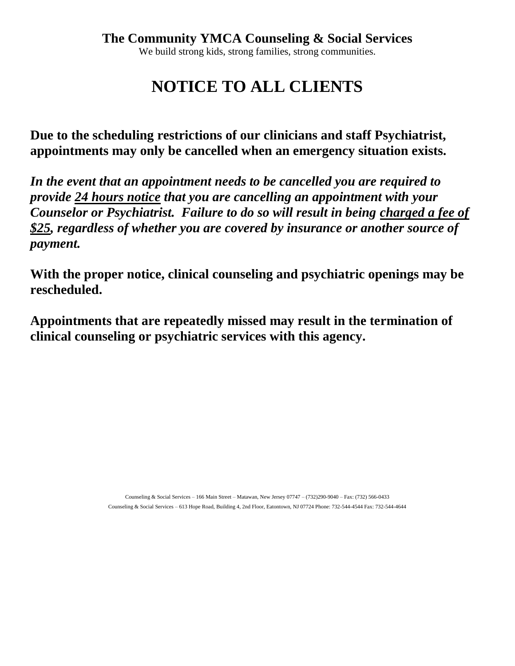**NOTICE TO ALL CLIENTS**

**Due to the scheduling restrictions of our clinicians and staff Psychiatrist, appointments may only be cancelled when an emergency situation exists.** 

*In the event that an appointment needs to be cancelled you are required to provide 24 hours notice that you are cancelling an appointment with your Counselor or Psychiatrist. Failure to do so will result in being charged a fee of \$25, regardless of whether you are covered by insurance or another source of payment.*

**With the proper notice, clinical counseling and psychiatric openings may be rescheduled.** 

**Appointments that are repeatedly missed may result in the termination of clinical counseling or psychiatric services with this agency.**

> Counseling & Social Services – 166 Main Street – Matawan, New Jersey 07747 – (732)290-9040 – Fax: (732) 566-0433 Counseling & Social Services – 613 Hope Road, Building 4, 2nd Floor, Eatontown, NJ 07724 Phone: 732-544-4544 Fax: 732-544-4644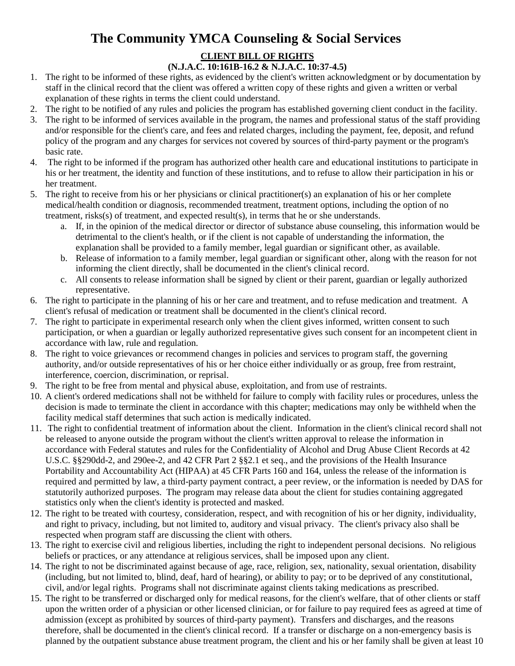# **CLIENT BILL OF RIGHTS**

### **(N.J.A.C. 10:161B-16.2 & N.J.A.C. 10:37-4.5)**

- 1. The right to be informed of these rights, as evidenced by the client's written acknowledgment or by documentation by staff in the clinical record that the client was offered a written copy of these rights and given a written or verbal explanation of these rights in terms the client could understand.
- 2. The right to be notified of any rules and policies the program has established governing client conduct in the facility.
- 3. The right to be informed of services available in the program, the names and professional status of the staff providing and/or responsible for the client's care, and fees and related charges, including the payment, fee, deposit, and refund policy of the program and any charges for services not covered by sources of third-party payment or the program's basic rate.
- 4. The right to be informed if the program has authorized other health care and educational institutions to participate in his or her treatment, the identity and function of these institutions, and to refuse to allow their participation in his or her treatment.
- 5. The right to receive from his or her physicians or clinical practitioner(s) an explanation of his or her complete medical/health condition or diagnosis, recommended treatment, treatment options, including the option of no treatment, risks(s) of treatment, and expected result(s), in terms that he or she understands.
	- a. If, in the opinion of the medical director or director of substance abuse counseling, this information would be detrimental to the client's health, or if the client is not capable of understanding the information, the explanation shall be provided to a family member, legal guardian or significant other, as available.
	- b. Release of information to a family member, legal guardian or significant other, along with the reason for not informing the client directly, shall be documented in the client's clinical record.
	- c. All consents to release information shall be signed by client or their parent, guardian or legally authorized representative.
- 6. The right to participate in the planning of his or her care and treatment, and to refuse medication and treatment. A client's refusal of medication or treatment shall be documented in the client's clinical record.
- 7. The right to participate in experimental research only when the client gives informed, written consent to such participation, or when a guardian or legally authorized representative gives such consent for an incompetent client in accordance with law, rule and regulation.
- 8. The right to voice grievances or recommend changes in policies and services to program staff, the governing authority, and/or outside representatives of his or her choice either individually or as group, free from restraint, interference, coercion, discrimination, or reprisal.
- 9. The right to be free from mental and physical abuse, exploitation, and from use of restraints.
- 10. A client's ordered medications shall not be withheld for failure to comply with facility rules or procedures, unless the decision is made to terminate the client in accordance with this chapter; medications may only be withheld when the facility medical staff determines that such action is medically indicated.
- 11. The right to confidential treatment of information about the client. Information in the client's clinical record shall not be released to anyone outside the program without the client's written approval to release the information in accordance with Federal statutes and rules for the Confidentiality of Alcohol and Drug Abuse Client Records at 42 U.S.C. §§290dd-2, and 290ee-2, and 42 CFR Part 2 §§2.1 et seq., and the provisions of the Health Insurance Portability and Accountability Act (HIPAA) at 45 CFR Parts 160 and 164, unless the release of the information is required and permitted by law, a third-party payment contract, a peer review, or the information is needed by DAS for statutorily authorized purposes. The program may release data about the client for studies containing aggregated statistics only when the client's identity is protected and masked.
- 12. The right to be treated with courtesy, consideration, respect, and with recognition of his or her dignity, individuality, and right to privacy, including, but not limited to, auditory and visual privacy. The client's privacy also shall be respected when program staff are discussing the client with others.
- 13. The right to exercise civil and religious liberties, including the right to independent personal decisions. No religious beliefs or practices, or any attendance at religious services, shall be imposed upon any client.
- 14. The right to not be discriminated against because of age, race, religion, sex, nationality, sexual orientation, disability (including, but not limited to, blind, deaf, hard of hearing), or ability to pay; or to be deprived of any constitutional, civil, and/or legal rights. Programs shall not discriminate against clients taking medications as prescribed.
- 15. The right to be transferred or discharged only for medical reasons, for the client's welfare, that of other clients or staff upon the written order of a physician or other licensed clinician, or for failure to pay required fees as agreed at time of admission (except as prohibited by sources of third-party payment). Transfers and discharges, and the reasons therefore, shall be documented in the client's clinical record. If a transfer or discharge on a non-emergency basis is planned by the outpatient substance abuse treatment program, the client and his or her family shall be given at least 10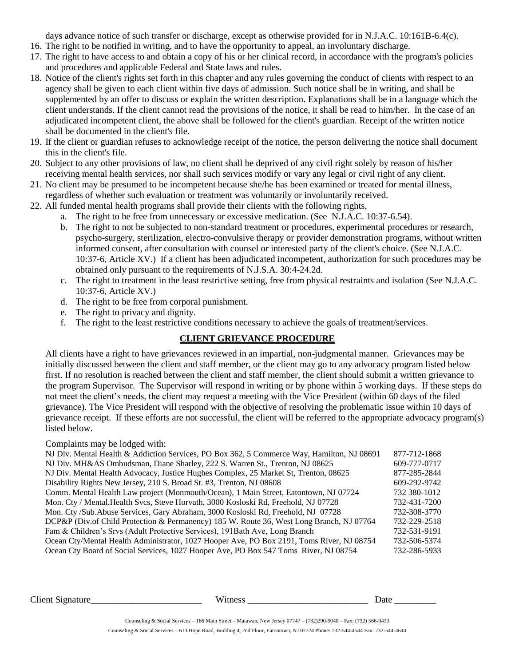days advance notice of such transfer or discharge, except as otherwise provided for in N.J.A.C. 10:161B-6.4(c).

- 16. The right to be notified in writing, and to have the opportunity to appeal, an involuntary discharge.
- 17. The right to have access to and obtain a copy of his or her clinical record, in accordance with the program's policies and procedures and applicable Federal and State laws and rules.
- 18. Notice of the client's rights set forth in this chapter and any rules governing the conduct of clients with respect to an agency shall be given to each client within five days of admission. Such notice shall be in writing, and shall be supplemented by an offer to discuss or explain the written description. Explanations shall be in a language which the client understands. If the client cannot read the provisions of the notice, it shall be read to him/her. In the case of an adjudicated incompetent client, the above shall be followed for the client's guardian. Receipt of the written notice shall be documented in the client's file.
- 19. If the client or guardian refuses to acknowledge receipt of the notice, the person delivering the notice shall document this in the client's file.
- 20. Subject to any other provisions of law, no client shall be deprived of any civil right solely by reason of his/her receiving mental health services, nor shall such services modify or vary any legal or civil right of any client.
- 21. No client may be presumed to be incompetent because she/he has been examined or treated for mental illness, regardless of whether such evaluation or treatment was voluntarily or involuntarily received.
- 22. All funded mental health programs shall provide their clients with the following rights,
	- a. The right to be free from unnecessary or excessive medication. (See N.J.A.C. 10:37-6.54).
		- b. The right to not be subjected to non-standard treatment or procedures, experimental procedures or research, psycho-surgery, sterilization, electro-convulsive therapy or provider demonstration programs, without written informed consent, after consultation with counsel or interested party of the client's choice. (See N.J.A.C. 10:37-6, Article XV.) If a client has been adjudicated incompetent, authorization for such procedures may be obtained only pursuant to the requirements of N.J.S.A. 30:4-24.2d.
		- c. The right to treatment in the least restrictive setting, free from physical restraints and isolation (See N.J.A.C. 10:37-6, Article XV.)
		- d. The right to be free from corporal punishment.
		- e. The right to privacy and dignity.
		- f. The right to the least restrictive conditions necessary to achieve the goals of treatment/services.

## **CLIENT GRIEVANCE PROCEDURE**

All clients have a right to have grievances reviewed in an impartial, non-judgmental manner. Grievances may be initially discussed between the client and staff member, or the client may go to any advocacy program listed below first. If no resolution is reached between the client and staff member, the client should submit a written grievance to the program Supervisor. The Supervisor will respond in writing or by phone within 5 working days. If these steps do not meet the client's needs, the client may request a meeting with the Vice President (within 60 days of the filed grievance). The Vice President will respond with the objective of resolving the problematic issue within 10 days of grievance receipt. If these efforts are not successful, the client will be referred to the appropriate advocacy program(s) listed below.

Complaints may be lodged with:

| NJ Div. Mental Health & Addiction Services, PO Box 362, 5 Commerce Way, Hamilton, NJ 08691 | 877-712-1868 |
|--------------------------------------------------------------------------------------------|--------------|
| NJ Div. MH&AS Ombudsman, Diane Sharley, 222 S. Warren St., Trenton, NJ 08625               | 609-777-0717 |
| NJ Div. Mental Health Advocacy, Justice Hughes Complex, 25 Market St, Trenton, 08625       | 877-285-2844 |
| Disability Rights New Jersey, 210 S. Broad St. #3, Trenton, NJ 08608                       | 609-292-9742 |
| Comm. Mental Health Law project (Monmouth/Ocean), 1 Main Street, Eatontown, NJ 07724       | 732 380-1012 |
| Mon. Cty / Mental. Health Svcs, Steve Horvath, 3000 Kosloski Rd, Freehold, NJ 07728        | 732-431-7200 |
| Mon. Cty /Sub.Abuse Services, Gary Abraham, 3000 Kosloski Rd, Freehold, NJ 07728           | 732-308-3770 |
| DCP&P (Div.of Child Protection & Permanency) 185 W. Route 36, West Long Branch, NJ 07764   | 732-229-2518 |
| Fam & Children's Srvs (Adult Protective Services), 191Bath Ave, Long Branch                | 732-531-9191 |
| Ocean Cty/Mental Health Administrator, 1027 Hooper Ave, PO Box 2191, Toms River, NJ 08754  | 732-506-5374 |
| Ocean Cty Board of Social Services, 1027 Hooper Ave, PO Box 547 Toms River, NJ 08754       | 732-286-5933 |
|                                                                                            |              |

Client Signature\_\_\_\_\_\_\_\_\_\_\_\_\_\_\_\_\_\_\_\_\_\_\_\_ Witness \_\_\_\_\_\_\_\_\_\_\_\_\_\_\_\_\_\_\_\_\_\_\_\_\_\_ Date \_\_\_\_\_\_\_\_\_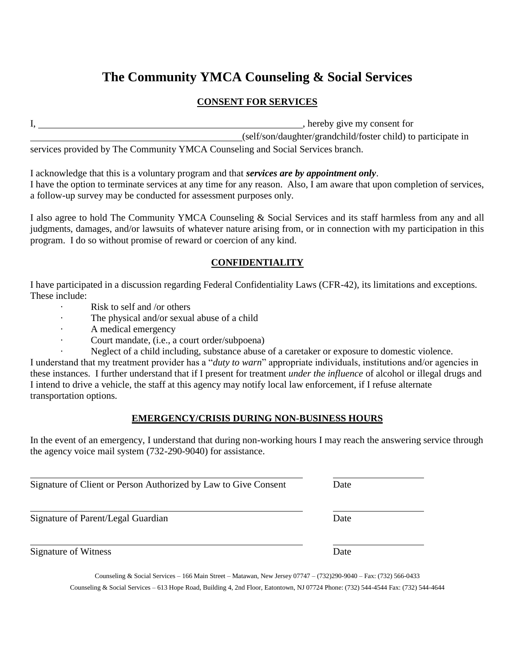### **CONSENT FOR SERVICES**

|  | , hereby give my consent for                                  |
|--|---------------------------------------------------------------|
|  | (self/son/daughter/grandchild/foster child) to participate in |
|  |                                                               |

services provided by The Community YMCA Counseling and Social Services branch.

I acknowledge that this is a voluntary program and that *services are by appointment only*. I have the option to terminate services at any time for any reason. Also, I am aware that upon completion of services, a follow-up survey may be conducted for assessment purposes only.

I also agree to hold The Community YMCA Counseling & Social Services and its staff harmless from any and all judgments, damages, and/or lawsuits of whatever nature arising from, or in connection with my participation in this program. I do so without promise of reward or coercion of any kind.

### **CONFIDENTIALITY**

I have participated in a discussion regarding Federal Confidentiality Laws (CFR-42), its limitations and exceptions. These include:

- Risk to self and /or others
- The physical and/or sexual abuse of a child
- · A medical emergency
- Court mandate, (i.e., a court order/subpoena)
- Neglect of a child including, substance abuse of a caretaker or exposure to domestic violence.

I understand that my treatment provider has a "*duty to warn*" appropriate individuals, institutions and/or agencies in these instances. I further understand that if I present for treatment *under the influence* of alcohol or illegal drugs and I intend to drive a vehicle, the staff at this agency may notify local law enforcement, if I refuse alternate transportation options.

### **EMERGENCY/CRISIS DURING NON-BUSINESS HOURS**

In the event of an emergency, I understand that during non-working hours I may reach the answering service through the agency voice mail system (732-290-9040) for assistance.

| Signature of Client or Person Authorized by Law to Give Consent | Date |  |
|-----------------------------------------------------------------|------|--|
| Signature of Parent/Legal Guardian                              | Date |  |
| Signature of Witness                                            | Date |  |

Counseling & Social Services – 166 Main Street – Matawan, New Jersey 07747 – (732)290-9040 – Fax: (732) 566-0433 Counseling & Social Services – 613 Hope Road, Building 4, 2nd Floor, Eatontown, NJ 07724 Phone: (732) 544-4544 Fax: (732) 544-4644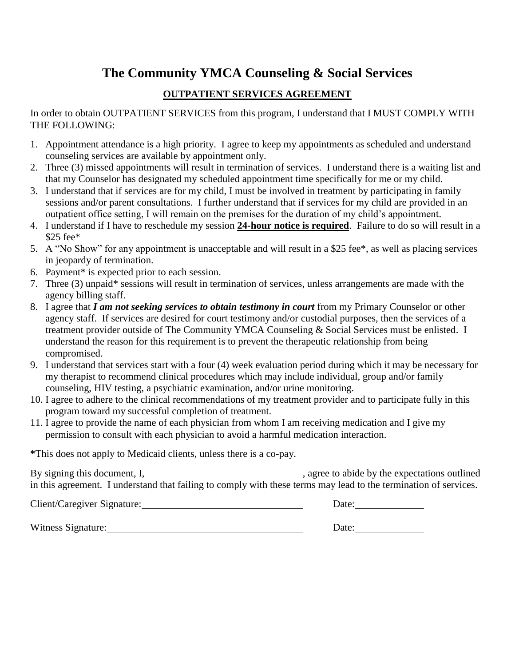## **OUTPATIENT SERVICES AGREEMENT**

In order to obtain OUTPATIENT SERVICES from this program, I understand that I MUST COMPLY WITH THE FOLLOWING:

- 1. Appointment attendance is a high priority. I agree to keep my appointments as scheduled and understand counseling services are available by appointment only.
- 2. Three (3) missed appointments will result in termination of services. I understand there is a waiting list and that my Counselor has designated my scheduled appointment time specifically for me or my child.
- 3. I understand that if services are for my child, I must be involved in treatment by participating in family sessions and/or parent consultations. I further understand that if services for my child are provided in an outpatient office setting, I will remain on the premises for the duration of my child's appointment.
- 4. I understand if I have to reschedule my session **24-hour notice is required**. Failure to do so will result in a \$25 fee\*
- 5. A "No Show" for any appointment is unacceptable and will result in a \$25 fee\*, as well as placing services in jeopardy of termination.
- 6. Payment\* is expected prior to each session.
- 7. Three (3) unpaid\* sessions will result in termination of services, unless arrangements are made with the agency billing staff.
- 8. I agree that *I am not seeking services to obtain testimony in court* from my Primary Counselor or other agency staff. If services are desired for court testimony and/or custodial purposes, then the services of a treatment provider outside of The Community YMCA Counseling & Social Services must be enlisted. I understand the reason for this requirement is to prevent the therapeutic relationship from being compromised.
- 9. I understand that services start with a four (4) week evaluation period during which it may be necessary for my therapist to recommend clinical procedures which may include individual, group and/or family counseling, HIV testing, a psychiatric examination, and/or urine monitoring.
- 10. I agree to adhere to the clinical recommendations of my treatment provider and to participate fully in this program toward my successful completion of treatment.
- 11. I agree to provide the name of each physician from whom I am receiving medication and I give my permission to consult with each physician to avoid a harmful medication interaction.

**\***This does not apply to Medicaid clients, unless there is a co-pay.

By signing this document, I, the expectations outlined is agree to abide by the expectations outlined in this agreement. I understand that failing to comply with these terms may lead to the termination of services.

| Client/Caregiver Signature: | Date: |
|-----------------------------|-------|
| Witness Signature:          | Date: |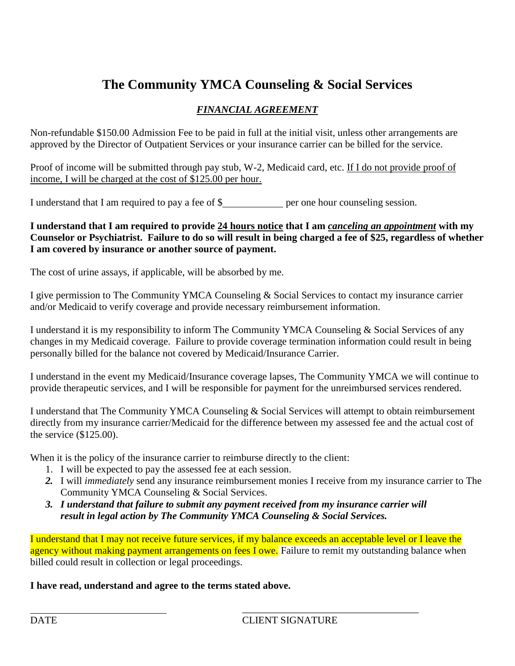## *FINANCIAL AGREEMENT*

Non-refundable \$150.00 Admission Fee to be paid in full at the initial visit, unless other arrangements are approved by the Director of Outpatient Services or your insurance carrier can be billed for the service.

Proof of income will be submitted through pay stub, W-2, Medicaid card, etc. If I do not provide proof of income, I will be charged at the cost of \$125.00 per hour.

I understand that I am required to pay a fee of \$ per one hour counseling session.

### **I understand that I am required to provide 24 hours notice that I am** *canceling an appointment* **with my Counselor or Psychiatrist. Failure to do so will result in being charged a fee of \$25, regardless of whether I am covered by insurance or another source of payment.**

The cost of urine assays, if applicable, will be absorbed by me.

I give permission to The Community YMCA Counseling & Social Services to contact my insurance carrier and/or Medicaid to verify coverage and provide necessary reimbursement information.

I understand it is my responsibility to inform The Community YMCA Counseling & Social Services of any changes in my Medicaid coverage. Failure to provide coverage termination information could result in being personally billed for the balance not covered by Medicaid/Insurance Carrier.

I understand in the event my Medicaid/Insurance coverage lapses, The Community YMCA we will continue to provide therapeutic services, and I will be responsible for payment for the unreimbursed services rendered.

I understand that The Community YMCA Counseling & Social Services will attempt to obtain reimbursement directly from my insurance carrier/Medicaid for the difference between my assessed fee and the actual cost of the service (\$125.00).

When it is the policy of the insurance carrier to reimburse directly to the client:

- 1. I will be expected to pay the assessed fee at each session.
- *2.* I will *immediately* send any insurance reimbursement monies I receive from my insurance carrier to The Community YMCA Counseling & Social Services.
- *3. I understand that failure to submit any payment received from my insurance carrier will result in legal action by The Community YMCA Counseling & Social Services.*

 $\overline{\phantom{a}}$  , and the contract of the contract of the contract of the contract of the contract of the contract of the contract of the contract of the contract of the contract of the contract of the contract of the contrac

I understand that I may not receive future services, if my balance exceeds an acceptable level or I leave the agency without making payment arrangements on fees I owe. Failure to remit my outstanding balance when billed could result in collection or legal proceedings.

## **I have read, understand and agree to the terms stated above.**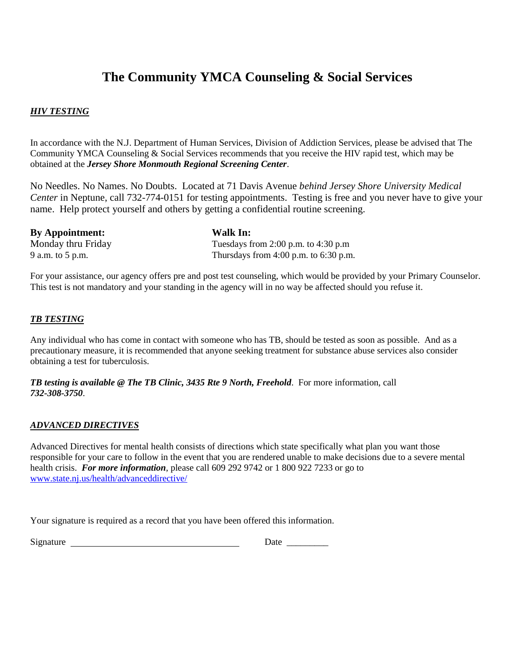### *HIV TESTING*

In accordance with the N.J. Department of Human Services, Division of Addiction Services, please be advised that The Community YMCA Counseling & Social Services recommends that you receive the HIV rapid test, which may be obtained at the *Jersey Shore Monmouth Regional Screening Center*.

No Needles. No Names. No Doubts. Located at 71 Davis Avenue *behind Jersey Shore University Medical Center* in Neptune, call 732-774-0151 for testing appointments. Testing is free and you never have to give your name. Help protect yourself and others by getting a confidential routine screening.

| <b>By Appointment:</b> | Walk In:                                  |  |  |
|------------------------|-------------------------------------------|--|--|
| Monday thru Friday     | Tuesdays from 2:00 p.m. to 4:30 p.m       |  |  |
| 9 a.m. to 5 p.m.       | Thursdays from $4:00$ p.m. to $6:30$ p.m. |  |  |

For your assistance, our agency offers pre and post test counseling, which would be provided by your Primary Counselor. This test is not mandatory and your standing in the agency will in no way be affected should you refuse it.

### *TB TESTING*

Any individual who has come in contact with someone who has TB, should be tested as soon as possible. And as a precautionary measure, it is recommended that anyone seeking treatment for substance abuse services also consider obtaining a test for tuberculosis.

*TB testing is available @ The TB Clinic, 3435 Rte 9 North, Freehold*. For more information, call *732-308-3750*.

### *ADVANCED DIRECTIVES*

Advanced Directives for mental health consists of directions which state specifically what plan you want those responsible for your care to follow in the event that you are rendered unable to make decisions due to a severe mental health crisis. *For more information*, please call 609 292 9742 or 1 800 922 7233 or go to [www.state.nj.us/health/advanceddirective/](http://www.state.nj.us/health/advanceddirective/)

Your signature is required as a record that you have been offered this information.

| Signature | Jate |
|-----------|------|
|           |      |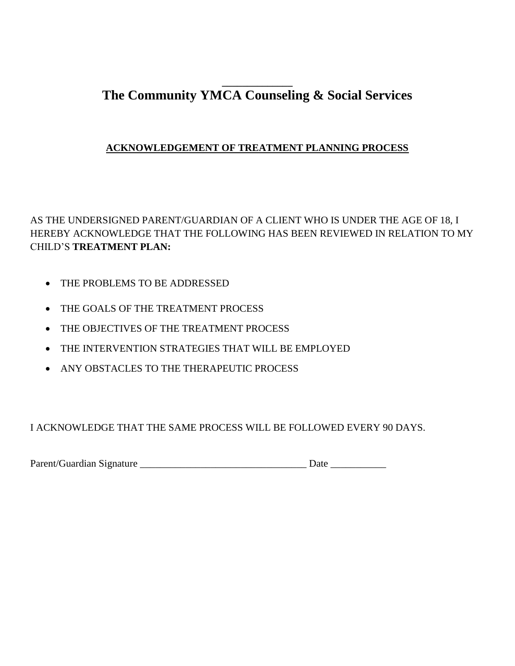## **\_\_\_\_\_\_\_\_\_\_\_\_\_\_ The Community YMCA Counseling & Social Services**

## **ACKNOWLEDGEMENT OF TREATMENT PLANNING PROCESS**

AS THE UNDERSIGNED PARENT/GUARDIAN OF A CLIENT WHO IS UNDER THE AGE OF 18, I HEREBY ACKNOWLEDGE THAT THE FOLLOWING HAS BEEN REVIEWED IN RELATION TO MY CHILD'S **TREATMENT PLAN:**

- THE PROBLEMS TO BE ADDRESSED
- THE GOALS OF THE TREATMENT PROCESS
- THE OBJECTIVES OF THE TREATMENT PROCESS
- THE INTERVENTION STRATEGIES THAT WILL BE EMPLOYED
- ANY OBSTACLES TO THE THERAPEUTIC PROCESS

I ACKNOWLEDGE THAT THE SAME PROCESS WILL BE FOLLOWED EVERY 90 DAYS.

Parent/Guardian Signature \_\_\_\_\_\_\_\_\_\_\_\_\_\_\_\_\_\_\_\_\_\_\_\_\_\_\_\_\_\_\_\_\_ Date \_\_\_\_\_\_\_\_\_\_\_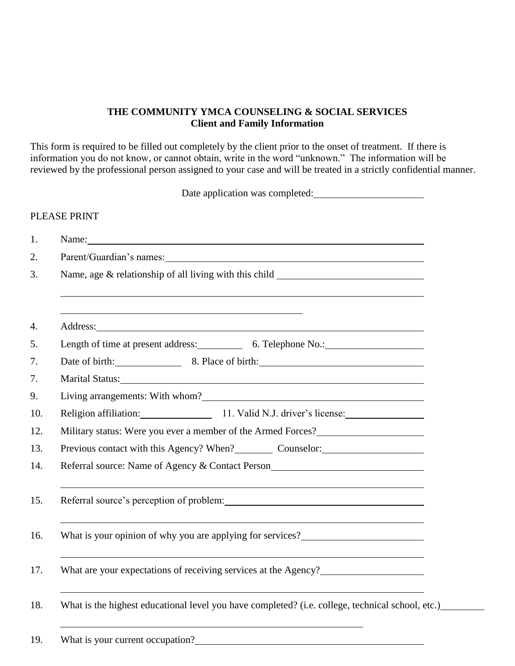### **THE COMMUNITY YMCA COUNSELING & SOCIAL SERVICES Client and Family Information**

This form is required to be filled out completely by the client prior to the onset of treatment. If there is information you do not know, or cannot obtain, write in the word "unknown." The information will be reviewed by the professional person assigned to your case and will be treated in a strictly confidential manner.

Date application was completed: PLEASE PRINT 1. Name: 2. Parent/Guardian's names: 3. Name, age & relationship of all living with this child 4. Address: 5. Length of time at present address: 6. Telephone No.: 7. Date of birth: 8. Place of birth: 7. Marital Status: 9. Living arrangements: With whom? 10. Religion affiliation: 11. Valid N.J. driver's license: 12. Military status: Were you ever a member of the Armed Forces? 13. Previous contact with this Agency? When? Counselor: 14. Referral source: Name of Agency & Contact Person 15. Referral source's perception of problem: 16. What is your opinion of why you are applying for services? 17. What are your expectations of receiving services at the Agency? 18. What is the highest educational level you have completed? (i.e. college, technical school, etc.)

### 19. What is your current occupation?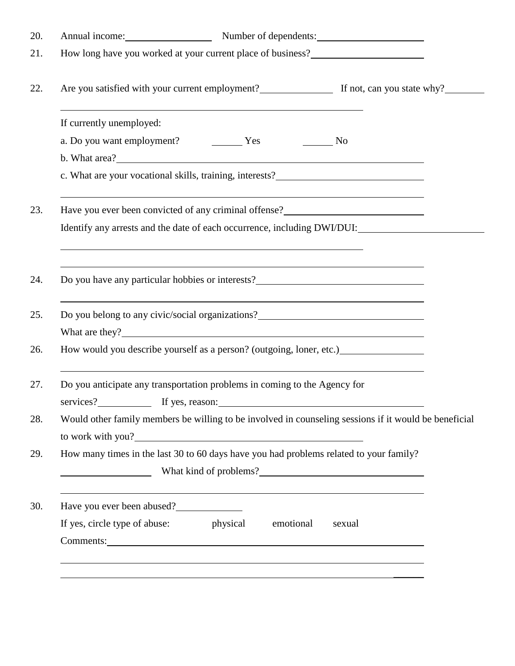|                              |                                                                                                                  |           | Annual income: Number of dependents:                                                                                                                                                                              |  |
|------------------------------|------------------------------------------------------------------------------------------------------------------|-----------|-------------------------------------------------------------------------------------------------------------------------------------------------------------------------------------------------------------------|--|
|                              |                                                                                                                  |           | How long have you worked at your current place of business?<br><u>Low long</u> have you worked at your current place of business?                                                                                 |  |
|                              |                                                                                                                  |           |                                                                                                                                                                                                                   |  |
| If currently unemployed:     | and the control of the control of the control of the control of the control of the control of the control of the |           |                                                                                                                                                                                                                   |  |
|                              |                                                                                                                  |           |                                                                                                                                                                                                                   |  |
|                              |                                                                                                                  |           | c. What are your vocational skills, training, interests?_________________________                                                                                                                                 |  |
|                              |                                                                                                                  |           | Have you ever been convicted of any criminal offense?<br><u>Letter and the set of any criminal offense</u>                                                                                                        |  |
|                              |                                                                                                                  |           | Identify any arrests and the date of each occurrence, including DWI/DUI:                                                                                                                                          |  |
|                              |                                                                                                                  |           | Do you have any particular hobbies or interests?________________________________                                                                                                                                  |  |
|                              |                                                                                                                  |           | ,我们也不会有什么。""我们的人,我们也不会有什么?""我们的人,我们也不会有什么?""我们的人,我们也不会有什么?""我们的人,我们也不会有什么?""我们的人<br>Do you belong to any civic/social organizations?<br><u>Do you belong</u> to any civic/social organizations?<br>What are they? |  |
|                              |                                                                                                                  |           | How would you describe yourself as a person? (outgoing, loner, etc.) ____________                                                                                                                                 |  |
| services?<br>If yes, reason: | Do you anticipate any transportation problems in coming to the Agency for                                        |           |                                                                                                                                                                                                                   |  |
|                              |                                                                                                                  |           | Would other family members be willing to be involved in counseling sessions if it would be beneficial                                                                                                             |  |
|                              |                                                                                                                  |           | How many times in the last 30 to 60 days have you had problems related to your family?                                                                                                                            |  |
| Have you ever been abused?   |                                                                                                                  |           | 的,我们也不会有什么。""我们的人,我们也不会有什么?""我们的人,我们也不会有什么?""我们的人,我们也不会有什么?""我们的人,我们也不会有什么?""我们的                                                                                                                                  |  |
|                              | If yes, circle type of abuse: physical                                                                           | emotional | sexual                                                                                                                                                                                                            |  |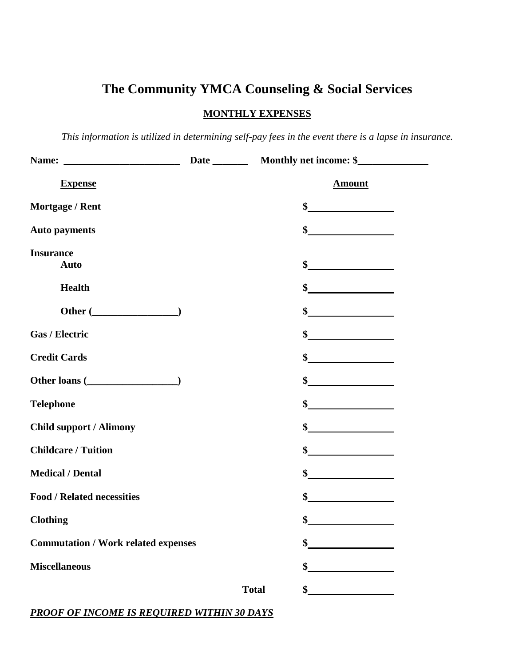### **MONTHLY EXPENSES**

*This information is utilized in determining self-pay fees in the event there is a lapse in insurance.* 

| <b>Expense</b>                             |              | <b>Amount</b>               |  |
|--------------------------------------------|--------------|-----------------------------|--|
| <b>Mortgage / Rent</b>                     |              | $\frac{1}{2}$               |  |
| <b>Auto payments</b>                       |              | $\frac{1}{2}$               |  |
| <b>Insurance</b><br><b>Auto</b>            |              |                             |  |
| <b>Health</b>                              |              |                             |  |
| Other $(\_)$                               |              | $\frac{1}{2}$               |  |
| Gas / Electric                             |              | $\frac{1}{2}$               |  |
| <b>Credit Cards</b>                        |              | $\frac{1}{2}$               |  |
| Other loans ( <u> </u>                     |              | $\sim$                      |  |
| <b>Telephone</b>                           |              | $\frac{1}{2}$               |  |
| <b>Child support / Alimony</b>             |              | $\frac{\text{S}}{\text{S}}$ |  |
| <b>Childcare / Tuition</b>                 |              | $\sim$                      |  |
| <b>Medical / Dental</b>                    |              | $\frac{\text{S}}{\text{S}}$ |  |
| <b>Food / Related necessities</b>          |              | $\sim$ $\sim$               |  |
| <b>Clothing</b>                            |              | \$                          |  |
| <b>Commutation / Work related expenses</b> |              |                             |  |
| <b>Miscellaneous</b>                       |              |                             |  |
|                                            | <b>Total</b> |                             |  |

### *PROOF OF INCOME IS REQUIRED WITHIN 30 DAYS*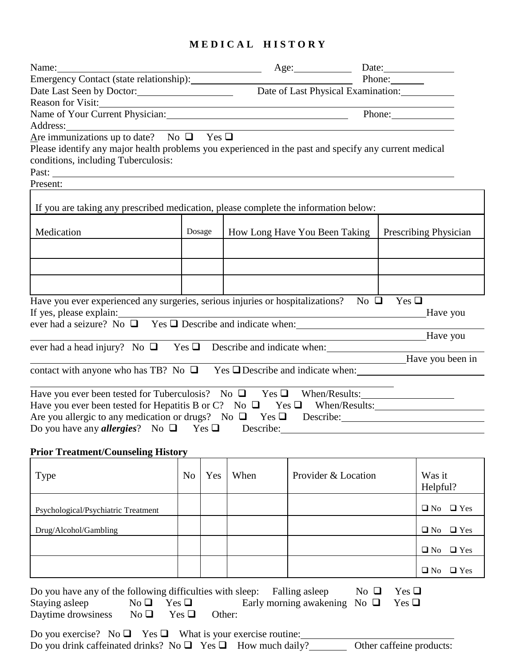## **M E D I C A L H I S T O R Y**

| Name: Name and the second contract of the second contract of the second contract of the second contract of the second contract of the second contract of the second contract of the second contract of the second contract of  |                |        |      | Age: Date: Date:                                                                                                     |        |                            |
|--------------------------------------------------------------------------------------------------------------------------------------------------------------------------------------------------------------------------------|----------------|--------|------|----------------------------------------------------------------------------------------------------------------------|--------|----------------------------|
|                                                                                                                                                                                                                                |                |        |      |                                                                                                                      | Phone: |                            |
| Date Last Seen by Doctor: Date of Last Physical Examination: Date of Last Physical Examination:                                                                                                                                |                |        |      |                                                                                                                      |        |                            |
| Reason for Visit:                                                                                                                                                                                                              |                |        |      |                                                                                                                      |        |                            |
| Name of Your Current Physician: 1997 Manual Manual Manual Manual Manual Manual Manual Manual Manual Manual Manual Manual Manual Manual Manual Manual Manual Manual Manual Manual Manual Manual Manual Manual Manual Manual Man |                |        |      |                                                                                                                      | Phone: |                            |
| Address: 1988 and 1988 and 1988 and 1988 and 1988 and 1988 and 1988 and 1988 and 1988 and 1988 and 1988 and 19                                                                                                                 |                |        |      |                                                                                                                      |        |                            |
| Are immunizations up to date? No $\Box$ Yes $\Box$<br>Please identify any major health problems you experienced in the past and specify any current medical<br>conditions, including Tuberculosis:                             |                |        |      |                                                                                                                      |        |                            |
| Present:                                                                                                                                                                                                                       |                |        |      |                                                                                                                      |        |                            |
| If you are taking any prescribed medication, please complete the information below:                                                                                                                                            |                |        |      |                                                                                                                      |        |                            |
| Medication                                                                                                                                                                                                                     |                | Dosage |      | How Long Have You Been Taking                                                                                        |        | Prescribing Physician      |
|                                                                                                                                                                                                                                |                |        |      |                                                                                                                      |        |                            |
|                                                                                                                                                                                                                                |                |        |      |                                                                                                                      |        |                            |
| Have you ever experienced any surgeries, serious injuries or hospitalizations? No $\square$ Yes $\square$<br>If yes, please explain:                                                                                           |                |        |      | <u> 1980 - Johann Barn, mars eta bainar eta bainar eta baina eta baina eta baina eta baina eta baina eta baina e</u> |        | Have you                   |
|                                                                                                                                                                                                                                |                |        |      |                                                                                                                      |        |                            |
| ever had a head injury? No $\Box$ Yes $\Box$ Describe and indicate when:                                                                                                                                                       |                |        |      |                                                                                                                      |        | Have you                   |
|                                                                                                                                                                                                                                |                |        |      |                                                                                                                      |        | Have you been in           |
| contact with anyone who has TB? No $\Box$ Yes $\Box$ Describe and indicate when:                                                                                                                                               |                |        |      |                                                                                                                      |        |                            |
| Have you ever been tested for Tuberculosis? No $\Box$ Yes $\Box$ When/Results:<br>Have you ever been tested for Hepatitis B or C? No $\Box$ Yes $\Box$ When/Results:                                                           |                |        |      |                                                                                                                      |        |                            |
| Are you allergic to any medication or drugs? No $\Box$ Yes $\Box$ Describe:                                                                                                                                                    |                |        |      |                                                                                                                      |        |                            |
| Do you have any <i>allergies</i> ? No $\Box$ Yes $\Box$ Describe:                                                                                                                                                              |                |        |      |                                                                                                                      |        |                            |
| <b>Prior Treatment/Counseling History</b>                                                                                                                                                                                      |                |        |      |                                                                                                                      |        |                            |
| Type                                                                                                                                                                                                                           | N <sub>o</sub> | Yes    | When | Provider & Location                                                                                                  |        | Was it<br>Helpful?         |
| Psychological/Psychiatric Treatment                                                                                                                                                                                            |                |        |      |                                                                                                                      |        | $\Box$ Yes<br>$\square$ No |
| Druo/Alcohol/Gamblino                                                                                                                                                                                                          |                |        |      |                                                                                                                      |        | $\Box$ No $\Box$ Yes       |

| N <sub>o</sub> | Yes | When | Provider & Location | Was it<br>Helpful?      |
|----------------|-----|------|---------------------|-------------------------|
|                |     |      |                     | $\Box$ No $\Box$ Yes    |
|                |     |      |                     | $\Box$ Yes<br>$\Box$ No |
|                |     |      |                     | $\Box$ No $\Box$ Yes    |
|                |     |      |                     | $\Box$ Yes<br>$\Box$ No |
|                |     |      |                     |                         |

| Do you have any of the following difficulties with sleep: Falling as leep |                                       |        |                                              | $\mathrm{No} \ \Box \quad \mathrm{Yes} \ \Box$ |  |
|---------------------------------------------------------------------------|---------------------------------------|--------|----------------------------------------------|------------------------------------------------|--|
| Staying asleep                                                            | $N_0 \sqcup \quad \text{Yes } \sqcup$ |        | Early morning awakening No $\Box$ Yes $\Box$ |                                                |  |
| Daytime drowsiness $\Box$ No $\Box$                                       | $\text{Yes } \sqcup$                  | Other: |                                              |                                                |  |

Do you exercise? No  $\Box$  Yes  $\Box$  What is your exercise routine:  $\Box$ Do you drink caffeinated drinks? No  $\Box$  Yes  $\Box$  How much daily? Other caffeine products: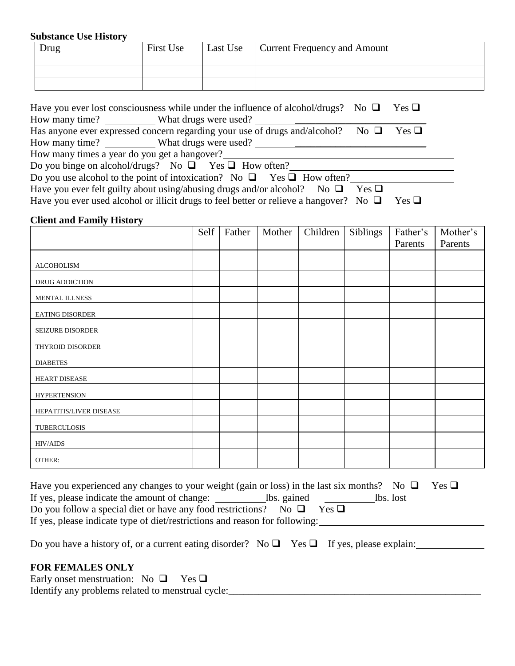### **Substance Use History**

| Drug | First Use | Last Use   Current Frequency and Amount |
|------|-----------|-----------------------------------------|
|      |           |                                         |
|      |           |                                         |
|      |           |                                         |

|                                              | Have you ever lost consciousness while under the influence of alcohol/drugs? No $\Box$ Yes $\Box$ |            |  |
|----------------------------------------------|---------------------------------------------------------------------------------------------------|------------|--|
|                                              | How many time? What drugs were used?                                                              |            |  |
|                                              | Has anyone ever expressed concern regarding your use of drugs and/alcohol? No $\Box$              | $Yes \Box$ |  |
|                                              | How many time? What drugs were used?                                                              |            |  |
| How many times a year do you get a hangover? |                                                                                                   |            |  |
|                                              | Do you binge on alcohol/drugs? No $\Box$ Yes $\Box$ How often?                                    |            |  |
|                                              | Do you use alcohol to the point of intoxication? No $\Box$ Yes $\Box$ How often?                  |            |  |
|                                              | Have you ever felt guilty about using/abusing drugs and/or alcohol? No $\Box$ Yes $\Box$          |            |  |
|                                              | Have you ever used alcohol or illicit drugs to feel better or relieve a hangover? No $\square$    | $Yes \Box$ |  |

## **Client and Family History**

|                         | Self | Father | Mother | Children | Siblings | Father's | Mother's |
|-------------------------|------|--------|--------|----------|----------|----------|----------|
|                         |      |        |        |          |          | Parents  | Parents  |
|                         |      |        |        |          |          |          |          |
| <b>ALCOHOLISM</b>       |      |        |        |          |          |          |          |
| DRUG ADDICTION          |      |        |        |          |          |          |          |
| <b>MENTAL ILLNESS</b>   |      |        |        |          |          |          |          |
| <b>EATING DISORDER</b>  |      |        |        |          |          |          |          |
| <b>SEIZURE DISORDER</b> |      |        |        |          |          |          |          |
| THYROID DISORDER        |      |        |        |          |          |          |          |
| <b>DIABETES</b>         |      |        |        |          |          |          |          |
| HEART DISEASE           |      |        |        |          |          |          |          |
| <b>HYPERTENSION</b>     |      |        |        |          |          |          |          |
| HEPATITIS/LIVER DISEASE |      |        |        |          |          |          |          |
| TUBERCULOSIS            |      |        |        |          |          |          |          |
| <b>HIV/AIDS</b>         |      |        |        |          |          |          |          |
| OTHER:                  |      |        |        |          |          |          |          |

| Have you experienced any changes to your weight (gain or loss) in the last six months? No $\Box$ |           | $Yes \sqcup$ |
|--------------------------------------------------------------------------------------------------|-----------|--------------|
| If yes, please indicate the amount of change:<br>lbs. gained                                     | lbs. lost |              |
| Do you follow a special diet or have any food restrictions? No $\square$<br>$Yes \sqcup$         |           |              |
| If yes, please indicate type of diet/restrictions and reason for following:                      |           |              |

i<br>L

| Do you have a history of, or a current eating disorder? No $\Box$ Yes $\Box$ If yes, please explain: |  |  |
|------------------------------------------------------------------------------------------------------|--|--|
|                                                                                                      |  |  |

## **FOR FEMALES ONLY**

Early onset menstruation: No  $\Box$  Yes  $\Box$ Identify any problems related to menstrual cycle:\_\_\_\_\_\_\_\_\_\_\_\_\_\_\_\_\_\_\_\_\_\_\_\_\_\_\_\_\_\_\_\_\_\_\_\_\_\_\_\_\_\_\_\_\_\_\_\_\_\_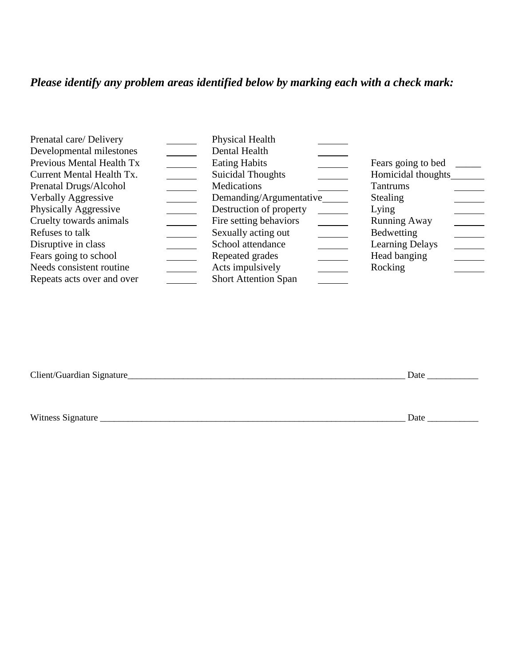# *Please identify any problem areas identified below by marking each with a check mark:*

| Prenatal care/ Delivery    | Physical Health             |                        |
|----------------------------|-----------------------------|------------------------|
| Developmental milestones   | Dental Health               |                        |
| Previous Mental Health Tx  | <b>Eating Habits</b>        | Fears going to bed     |
| Current Mental Health Tx.  | <b>Suicidal Thoughts</b>    | Homicidal thoughts     |
| Prenatal Drugs/Alcohol     | Medications                 | <b>Tantrums</b>        |
| Verbally Aggressive        | Demanding/Argumentative     | <b>Stealing</b>        |
| Physically Aggressive      | Destruction of property     | Lying                  |
| Cruelty towards animals    | Fire setting behaviors      | <b>Running Away</b>    |
| Refuses to talk            | Sexually acting out         | <b>Bedwetting</b>      |
| Disruptive in class        | School attendance           | <b>Learning Delays</b> |
| Fears going to school      | Repeated grades             | Head banging           |
| Needs consistent routine   | Acts impulsively            | Rocking                |
| Repeats acts over and over | <b>Short Attention Span</b> |                        |

Client/Guardian Signature\_\_\_\_\_\_\_\_\_\_\_\_\_\_\_\_\_\_\_\_\_\_\_\_\_\_\_\_\_\_\_\_\_\_\_\_\_\_\_\_\_\_\_\_\_\_\_\_\_\_\_\_\_\_\_\_\_\_\_\_ Date \_\_\_\_\_\_\_\_\_\_\_

Witness Signature \_\_\_\_\_\_\_\_\_\_\_\_\_\_\_\_\_\_\_\_\_\_\_\_\_\_\_\_\_\_\_\_\_\_\_\_\_\_\_\_\_\_\_\_\_\_\_\_\_\_\_\_\_\_\_\_\_\_\_\_\_\_\_\_\_\_ Date \_\_\_\_\_\_\_\_\_\_\_